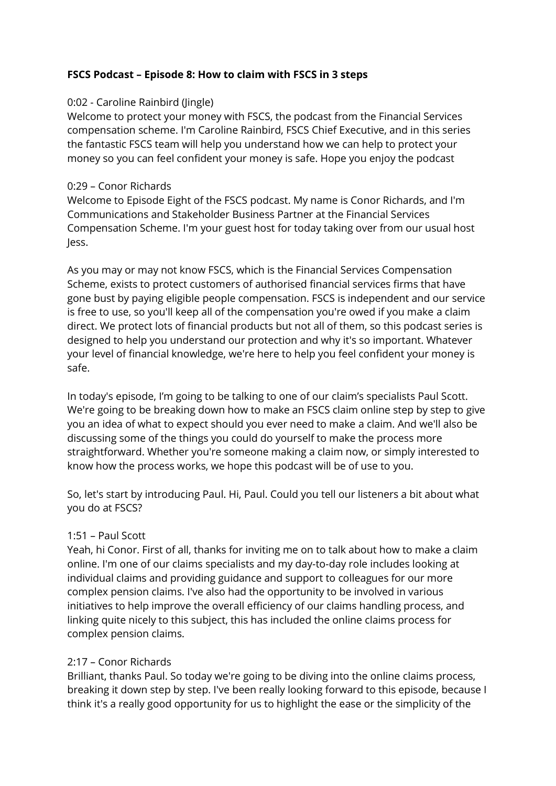# **FSCS Podcast – Episode 8: How to claim with FSCS in 3 steps**

# 0:02 - Caroline Rainbird (Jingle)

Welcome to protect your money with FSCS, the podcast from the Financial Services compensation scheme. I'm Caroline Rainbird, FSCS Chief Executive, and in this series the fantastic FSCS team will help you understand how we can help to protect your money so you can feel confident your money is safe. Hope you enjoy the podcast

# 0:29 – Conor Richards

Welcome to Episode Eight of the FSCS podcast. My name is Conor Richards, and I'm Communications and Stakeholder Business Partner at the Financial Services Compensation Scheme. I'm your guest host for today taking over from our usual host Jess.

As you may or may not know FSCS, which is the Financial Services Compensation Scheme, exists to protect customers of authorised financial services firms that have gone bust by paying eligible people compensation. FSCS is independent and our service is free to use, so you'll keep all of the compensation you're owed if you make a claim direct. We protect lots of financial products but not all of them, so this podcast series is designed to help you understand our protection and why it's so important. Whatever your level of financial knowledge, we're here to help you feel confident your money is safe.

In today's episode, I'm going to be talking to one of our claim's specialists Paul Scott. We're going to be breaking down how to make an FSCS claim online step by step to give you an idea of what to expect should you ever need to make a claim. And we'll also be discussing some of the things you could do yourself to make the process more straightforward. Whether you're someone making a claim now, or simply interested to know how the process works, we hope this podcast will be of use to you.

So, let's start by introducing Paul. Hi, Paul. Could you tell our listeners a bit about what you do at FSCS?

# 1:51 – Paul Scott

Yeah, hi Conor. First of all, thanks for inviting me on to talk about how to make a claim online. I'm one of our claims specialists and my day-to-day role includes looking at individual claims and providing guidance and support to colleagues for our more complex pension claims. I've also had the opportunity to be involved in various initiatives to help improve the overall efficiency of our claims handling process, and linking quite nicely to this subject, this has included the online claims process for complex pension claims.

# 2:17 – Conor Richards

Brilliant, thanks Paul. So today we're going to be diving into the online claims process, breaking it down step by step. I've been really looking forward to this episode, because I think it's a really good opportunity for us to highlight the ease or the simplicity of the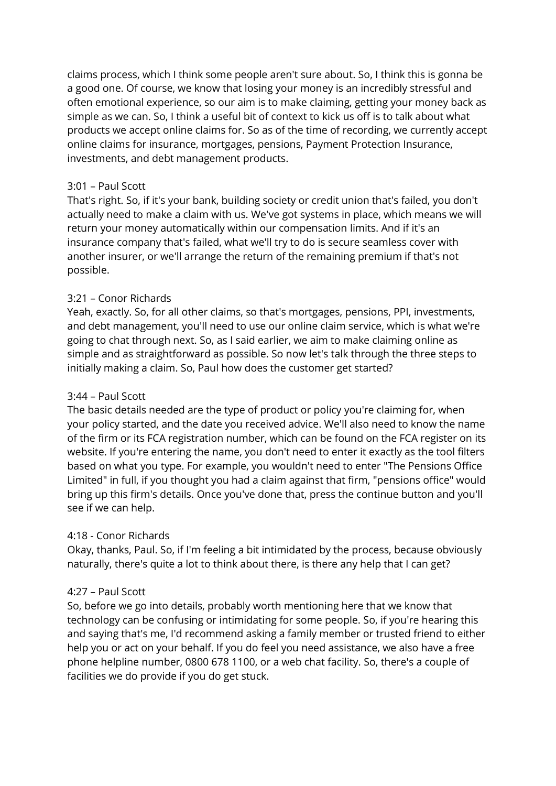claims process, which I think some people aren't sure about. So, I think this is gonna be a good one. Of course, we know that losing your money is an incredibly stressful and often emotional experience, so our aim is to make claiming, getting your money back as simple as we can. So, I think a useful bit of context to kick us off is to talk about what products we accept online claims for. So as of the time of recording, we currently accept online claims for insurance, mortgages, pensions, Payment Protection Insurance, investments, and debt management products.

## 3:01 – Paul Scott

That's right. So, if it's your bank, building society or credit union that's failed, you don't actually need to make a claim with us. We've got systems in place, which means we will return your money automatically within our compensation limits. And if it's an insurance company that's failed, what we'll try to do is secure seamless cover with another insurer, or we'll arrange the return of the remaining premium if that's not possible.

# 3:21 – Conor Richards

Yeah, exactly. So, for all other claims, so that's mortgages, pensions, PPI, investments, and debt management, you'll need to use our online claim service, which is what we're going to chat through next. So, as I said earlier, we aim to make claiming online as simple and as straightforward as possible. So now let's talk through the three steps to initially making a claim. So, Paul how does the customer get started?

### 3:44 – Paul Scott

The basic details needed are the type of product or policy you're claiming for, when your policy started, and the date you received advice. We'll also need to know the name of the firm or its FCA registration number, which can be found on the FCA register on its website. If you're entering the name, you don't need to enter it exactly as the tool filters based on what you type. For example, you wouldn't need to enter "The Pensions Office Limited" in full, if you thought you had a claim against that firm, "pensions office" would bring up this firm's details. Once you've done that, press the continue button and you'll see if we can help.

### 4:18 - Conor Richards

Okay, thanks, Paul. So, if I'm feeling a bit intimidated by the process, because obviously naturally, there's quite a lot to think about there, is there any help that I can get?

### 4:27 – Paul Scott

So, before we go into details, probably worth mentioning here that we know that technology can be confusing or intimidating for some people. So, if you're hearing this and saying that's me, I'd recommend asking a family member or trusted friend to either help you or act on your behalf. If you do feel you need assistance, we also have a free phone helpline number, 0800 678 1100, or a web chat facility. So, there's a couple of facilities we do provide if you do get stuck.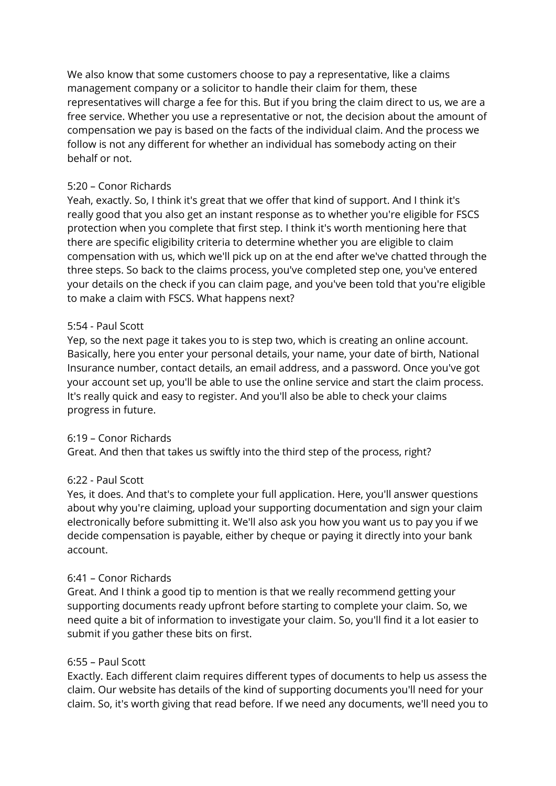We also know that some customers choose to pay a representative, like a claims management company or a solicitor to handle their claim for them, these representatives will charge a fee for this. But if you bring the claim direct to us, we are a free service. Whether you use a representative or not, the decision about the amount of compensation we pay is based on the facts of the individual claim. And the process we follow is not any different for whether an individual has somebody acting on their behalf or not.

# 5:20 – Conor Richards

Yeah, exactly. So, I think it's great that we offer that kind of support. And I think it's really good that you also get an instant response as to whether you're eligible for FSCS protection when you complete that first step. I think it's worth mentioning here that there are specific eligibility criteria to determine whether you are eligible to claim compensation with us, which we'll pick up on at the end after we've chatted through the three steps. So back to the claims process, you've completed step one, you've entered your details on the check if you can claim page, and you've been told that you're eligible to make a claim with FSCS. What happens next?

### 5:54 - Paul Scott

Yep, so the next page it takes you to is step two, which is creating an online account. Basically, here you enter your personal details, your name, your date of birth, National Insurance number, contact details, an email address, and a password. Once you've got your account set up, you'll be able to use the online service and start the claim process. It's really quick and easy to register. And you'll also be able to check your claims progress in future.

### 6:19 – Conor Richards

Great. And then that takes us swiftly into the third step of the process, right?

### 6:22 - Paul Scott

Yes, it does. And that's to complete your full application. Here, you'll answer questions about why you're claiming, upload your supporting documentation and sign your claim electronically before submitting it. We'll also ask you how you want us to pay you if we decide compensation is payable, either by cheque or paying it directly into your bank account.

### 6:41 – Conor Richards

Great. And I think a good tip to mention is that we really recommend getting your supporting documents ready upfront before starting to complete your claim. So, we need quite a bit of information to investigate your claim. So, you'll find it a lot easier to submit if you gather these bits on first.

#### 6:55 – Paul Scott

Exactly. Each different claim requires different types of documents to help us assess the claim. Our website has details of the kind of supporting documents you'll need for your claim. So, it's worth giving that read before. If we need any documents, we'll need you to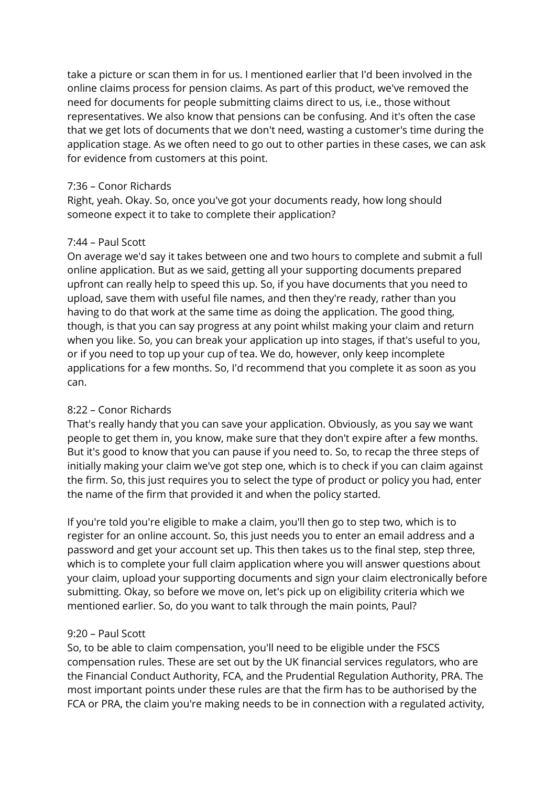take a picture or scan them in for us. I mentioned earlier that I'd been involved in the online claims process for pension claims. As part of this product, we've removed the need for documents for people submitting claims direct to us, i.e., those without representatives. We also know that pensions can be confusing. And it's often the case that we get lots of documents that we don't need, wasting a customer's time during the application stage. As we often need to go out to other parties in these cases, we can ask for evidence from customers at this point.

### 7:36 – Conor Richards

Right, yeah. Okay. So, once you've got your documents ready, how long should someone expect it to take to complete their application?

### 7:44 – Paul Scott

On average we'd say it takes between one and two hours to complete and submit a full online application. But as we said, getting all your supporting documents prepared upfront can really help to speed this up. So, if you have documents that you need to upload, save them with useful file names, and then they're ready, rather than you having to do that work at the same time as doing the application. The good thing, though, is that you can say progress at any point whilst making your claim and return when you like. So, you can break your application up into stages, if that's useful to you, or if you need to top up your cup of tea. We do, however, only keep incomplete applications for a few months. So, I'd recommend that you complete it as soon as you can.

### 8:22 – Conor Richards

That's really handy that you can save your application. Obviously, as you say we want people to get them in, you know, make sure that they don't expire after a few months. But it's good to know that you can pause if you need to. So, to recap the three steps of initially making your claim we've got step one, which is to check if you can claim against the firm. So, this just requires you to select the type of product or policy you had, enter the name of the firm that provided it and when the policy started.

If you're told you're eligible to make a claim, you'll then go to step two, which is to register for an online account. So, this just needs you to enter an email address and a password and get your account set up. This then takes us to the final step, step three, which is to complete your full claim application where you will answer questions about your claim, upload your supporting documents and sign your claim electronically before submitting. Okay, so before we move on, let's pick up on eligibility criteria which we mentioned earlier. So, do you want to talk through the main points, Paul?

### 9:20 – Paul Scott

So, to be able to claim compensation, you'll need to be eligible under the FSCS compensation rules. These are set out by the UK financial services regulators, who are the Financial Conduct Authority, FCA, and the Prudential Regulation Authority, PRA. The most important points under these rules are that the firm has to be authorised by the FCA or PRA, the claim you're making needs to be in connection with a regulated activity,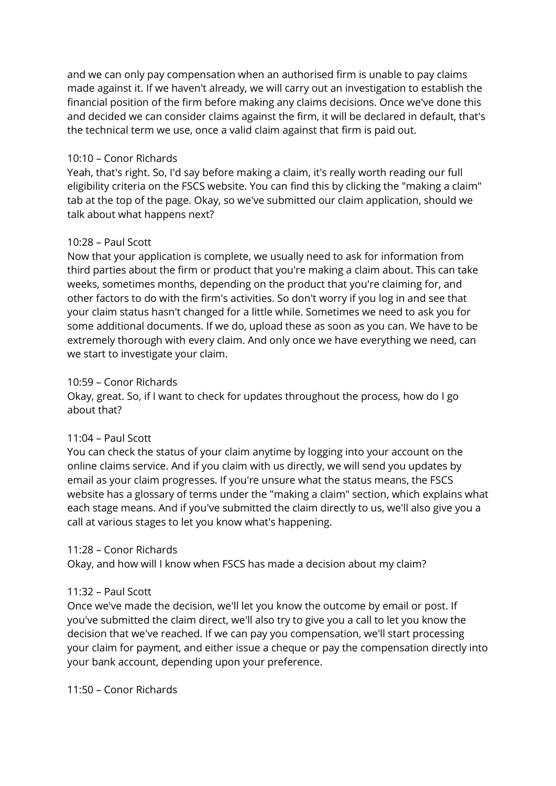and we can only pay compensation when an authorised firm is unable to pay claims made against it. If we haven't already, we will carry out an investigation to establish the financial position of the firm before making any claims decisions. Once we've done this and decided we can consider claims against the firm, it will be declared in default, that's the technical term we use, once a valid claim against that firm is paid out.

### 10:10 – Conor Richards

Yeah, that's right. So, I'd say before making a claim, it's really worth reading our full eligibility criteria on the FSCS website. You can find this by clicking the "making a claim" tab at the top of the page. Okay, so we've submitted our claim application, should we talk about what happens next?

#### 10:28 – Paul Scott

Now that your application is complete, we usually need to ask for information from third parties about the firm or product that you're making a claim about. This can take weeks, sometimes months, depending on the product that you're claiming for, and other factors to do with the firm's activities. So don't worry if you log in and see that your claim status hasn't changed for a little while. Sometimes we need to ask you for some additional documents. If we do, upload these as soon as you can. We have to be extremely thorough with every claim. And only once we have everything we need, can we start to investigate your claim.

#### 10:59 – Conor Richards

Okay, great. So, if I want to check for updates throughout the process, how do I go about that?

#### 11:04 – Paul Scott

You can check the status of your claim anytime by logging into your account on the online claims service. And if you claim with us directly, we will send you updates by email as your claim progresses. If you're unsure what the status means, the FSCS website has a glossary of terms under the "making a claim" section, which explains what each stage means. And if you've submitted the claim directly to us, we'll also give you a call at various stages to let you know what's happening.

#### 11:28 – Conor Richards

Okay, and how will I know when FSCS has made a decision about my claim?

### 11:32 – Paul Scott

Once we've made the decision, we'll let you know the outcome by email or post. If you've submitted the claim direct, we'll also try to give you a call to let you know the decision that we've reached. If we can pay you compensation, we'll start processing your claim for payment, and either issue a cheque or pay the compensation directly into your bank account, depending upon your preference.

11:50 – Conor Richards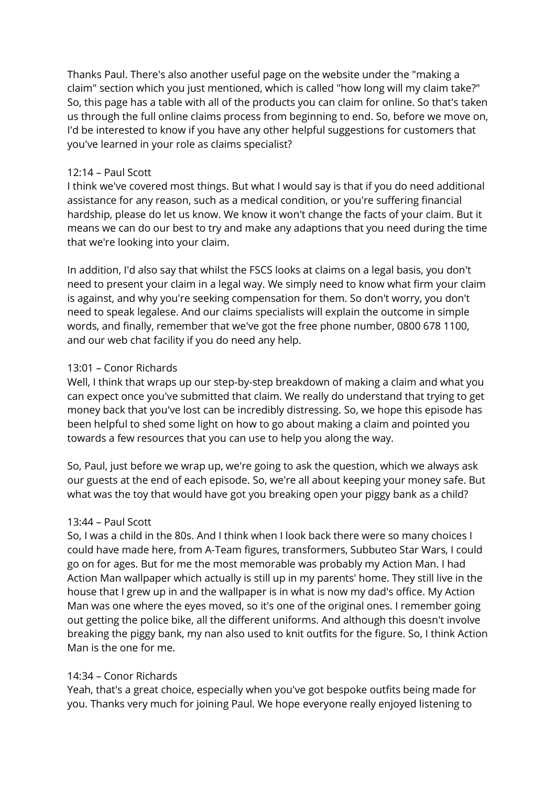Thanks Paul. There's also another useful page on the website under the "making a claim" section which you just mentioned, which is called "how long will my claim take?" So, this page has a table with all of the products you can claim for online. So that's taken us through the full online claims process from beginning to end. So, before we move on, I'd be interested to know if you have any other helpful suggestions for customers that you've learned in your role as claims specialist?

#### 12:14 – Paul Scott

I think we've covered most things. But what I would say is that if you do need additional assistance for any reason, such as a medical condition, or you're suffering financial hardship, please do let us know. We know it won't change the facts of your claim. But it means we can do our best to try and make any adaptions that you need during the time that we're looking into your claim.

In addition, I'd also say that whilst the FSCS looks at claims on a legal basis, you don't need to present your claim in a legal way. We simply need to know what firm your claim is against, and why you're seeking compensation for them. So don't worry, you don't need to speak legalese. And our claims specialists will explain the outcome in simple words, and finally, remember that we've got the free phone number, 0800 678 1100, and our web chat facility if you do need any help.

#### 13:01 – Conor Richards

Well, I think that wraps up our step-by-step breakdown of making a claim and what you can expect once you've submitted that claim. We really do understand that trying to get money back that you've lost can be incredibly distressing. So, we hope this episode has been helpful to shed some light on how to go about making a claim and pointed you towards a few resources that you can use to help you along the way.

So, Paul, just before we wrap up, we're going to ask the question, which we always ask our guests at the end of each episode. So, we're all about keeping your money safe. But what was the toy that would have got you breaking open your piggy bank as a child?

### 13:44 – Paul Scott

So, I was a child in the 80s. And I think when I look back there were so many choices I could have made here, from A-Team figures, transformers, Subbuteo Star Wars, I could go on for ages. But for me the most memorable was probably my Action Man. I had Action Man wallpaper which actually is still up in my parents' home. They still live in the house that I grew up in and the wallpaper is in what is now my dad's office. My Action Man was one where the eyes moved, so it's one of the original ones. I remember going out getting the police bike, all the different uniforms. And although this doesn't involve breaking the piggy bank, my nan also used to knit outfits for the figure. So, I think Action Man is the one for me.

### 14:34 – Conor Richards

Yeah, that's a great choice, especially when you've got bespoke outfits being made for you. Thanks very much for joining Paul. We hope everyone really enjoyed listening to